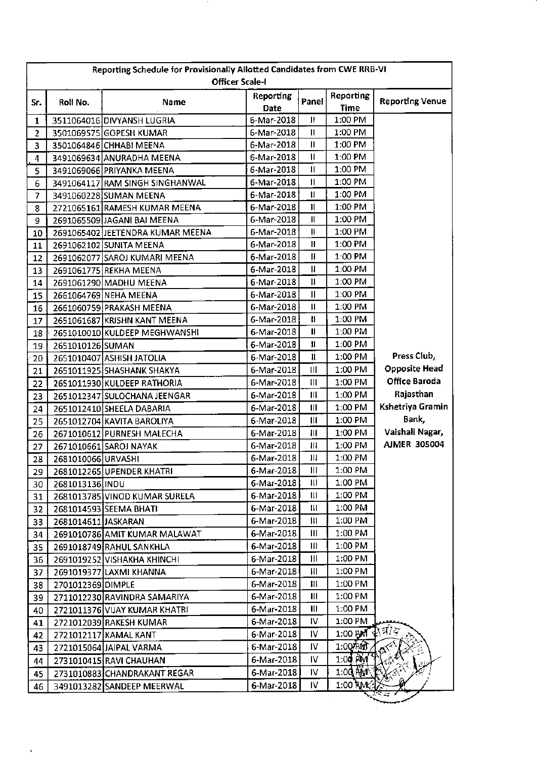|                | Reporting Schedule for Provisionally Allotted Candidates from CWE RRB-VI<br><b>Officer Scale-I</b> |                                  |                   |                        |                                 |                        |  |
|----------------|----------------------------------------------------------------------------------------------------|----------------------------------|-------------------|------------------------|---------------------------------|------------------------|--|
| Sr.            | Roll No.                                                                                           | Name                             | Reporting<br>Date | Panel                  | <b>Reporting</b><br><b>Time</b> | <b>Reporting Venue</b> |  |
| 1              |                                                                                                    | 3511064016 DIVYANSH LUGRIA       | 6-Mar-2018        | $\mathbf{H}$           | 1:00 PM                         |                        |  |
| $\overline{2}$ |                                                                                                    | 3501069575 GOPESH KUMAR          | 6-Mar-2018        | Ш                      | 1:00 PM                         |                        |  |
| 3              |                                                                                                    | 3501064846 CHHABI MEENA          | 6-Mar-2018        | $\mathbf{\mathsf{II}}$ | 1:00 PM                         |                        |  |
| 4              |                                                                                                    | 3491069634 ANURADHA MEENA        | 6-Mar-2018        | $\mathbf{I}$           | 1:00 PM                         |                        |  |
| 5              |                                                                                                    | 3491069066 PRIYANKA MEENA        | 6-Mar-2018        | Ш                      | 1:00 PM                         |                        |  |
| 6              |                                                                                                    | 3491064117 RAM SINGH SINGHANWAL  | 6-Mar-2018        | $\mathsf{II}$          | 1:00 PM                         |                        |  |
| 7              |                                                                                                    | 3491060228 SUMAN MEENA           | 6-Mar-2018        | Ħ                      | 1:00 PM                         |                        |  |
| 8              |                                                                                                    | 2721065161 RAMESH KUMAR MEENA    | 6-Mar-2018        | łI.                    | 1:00 PM                         |                        |  |
| 9              |                                                                                                    | 2691065509 JAGANI BAI MEENA      | 6-Mar-2018        | Ш                      | 1:00 PM                         |                        |  |
| $10\,$         |                                                                                                    | 2691065402 JEETENDRA KUMAR MEENA | 6-Mar-2018        | IF                     | 1:00 PM                         |                        |  |
| 11             |                                                                                                    | 2691062102 SUNITA MEENA          | 6-Mar-2018        | IJ                     | 1:00 PM                         |                        |  |
| 12             |                                                                                                    | 2691062077 SAROJ KUMARI MEENA    | 6-Mar-2018        | Ħ                      | 1:00 PM                         |                        |  |
| 13             |                                                                                                    | 2691061775 REKHA MEENA           | 6-Mar-2018        | $\mathbf{I}$           | 1:00 PM                         |                        |  |
| 14             |                                                                                                    | 2691061290 MADHU MEENA           | 6-Mar-2018        | $\mathbf{I}$           | 1:00 PM                         |                        |  |
| 15             |                                                                                                    | 2661064769 NEHA MEENA            | 6-Mar-2018        | Ш                      | 1:00 PM                         |                        |  |
| 16             |                                                                                                    | 2661060759 PRAKASH MEENA         | 6-Mar-2018        | П                      | 1:00 PM                         |                        |  |
| 17             |                                                                                                    | 2651061687 KRISHN KANT MEENA     | 6-Mar-2018        | П                      | 1:00 PM                         |                        |  |
| 18             |                                                                                                    | 2651010010 KULDEEP MEGHWANSHI    | 6-Mar-2018        | Ш                      | 1:00 PM                         |                        |  |
| 19             | 2651010126 SUMAN                                                                                   |                                  | 6-Mar-2018        | П                      | 1:00 PM                         |                        |  |
| 20             |                                                                                                    | 2651010407 ASHISH JATOLIA        | 6-Mar-2018        | $\mathbf l$            | 1:00 PM                         | Press Club,            |  |
| 21             |                                                                                                    | 2651011925 SHASHANK SHAKYA       | 6-Mar-2018        | $\mathbf{III}$         | 1:00 PM                         | <b>Opposite Head</b>   |  |
| 22             |                                                                                                    | 2651011930 KULDEEP RATHORIA      | 6-Mar-2018        | III                    | 1:00 PM                         | Office Baroda          |  |
| 23             |                                                                                                    | 2651012347 SULOCHANA JEENGAR     | 6-Mar-2018        | Ш                      | 1:00 PM                         | Rajasthan              |  |
| 24             |                                                                                                    | 2651012410 SHEELA DABARIA        | 6-Mar-2018        | $\mathbf{III}$         | 1:00 PM                         | Kshetriya Gramin       |  |
| 25             |                                                                                                    | 2651012704 KAVITA BAROLIYA       | 6-Mar-2018        | $\mathbf{III}$         | $1:00$ PM                       | Bank,                  |  |
| 26             |                                                                                                    | 2671010612 PURNESH MALECHA       | 6-Mar-2018        | $\mathbf{III}$         | $1:00$ PM                       | Vaishali Nagar,        |  |
| 27             |                                                                                                    | 2671010661 SAROJ NAYAK           | 6-Mar-2018        | $\mathbf{H}$           | $1:00$ PM                       | <b>AJMER 305004</b>    |  |
| 28             | 2681010066 URVASHI                                                                                 |                                  | 6-Mar-2018        | Ш                      | 1:00 PM                         |                        |  |
| 29             |                                                                                                    | 2681012265 UPENDER KHATRI        | 6-Mar-2018        | Ш                      | 1:00 PM                         |                        |  |
| 30             | 2681013136 INDU                                                                                    |                                  | 6-Mar-2018        | Ш                      | 1:00 PM                         |                        |  |
| 31             |                                                                                                    | 2681013785 VINOD KUMAR SURELA    | 6-Mar-2018        | Ш                      | 1:00 PM                         |                        |  |
| 32             |                                                                                                    | 2681014593 SEEMA BHATI           | 6-Mar-2018        | Ш                      | 1:00 PM                         |                        |  |
| 33             | 2681014611 JASKARAN                                                                                |                                  | 6-Mar-2018        | Ш                      | 1:00 PM                         |                        |  |
| 34             |                                                                                                    | 2691010786 AMIT KUMAR MALAWAT    | 6-Mar-2018        | Ш                      | 1:00 PM                         |                        |  |
| 35             |                                                                                                    | 2691018749 RAHUL SANKHLA         | 6-Mar-2018        | Ш                      | 1:00 PM                         |                        |  |
| 36.            |                                                                                                    | 2691019252 VISHAKHA KHINCHI      | 6-Mar-2018        | Ш                      | 1:00 PM                         |                        |  |
| 37             |                                                                                                    | 2691019377 LAXMI KHANNA          | 6-Mar-2018        | Ш                      | 1:00 PM                         |                        |  |
| 38             | 2701012369 DIMPLE                                                                                  |                                  | 6-Mar-2018        | Ш                      | 1:00 PM                         |                        |  |
| 39             |                                                                                                    | 2711012230 RAVINDRA SAMARIYA     | 6-Mar-2018        | $\mathbf{III}$         | 1:00 PM                         |                        |  |
| 40             |                                                                                                    | 2721011376 VIJAY KUMAR KHATRI    | 6-Mar-2018        | $\mathbf{III}$         | 1:00 PM                         |                        |  |
| 41             |                                                                                                    | 2721012039 RAKESH KUMAR          | 6-Mar-2018        | IV                     | 1:00 PM                         |                        |  |
| 42             |                                                                                                    | 2721012117 KAMAL KANT            | 6-Mar-2018        | IV                     | $1.00$ BM $\mathbb{R}^{7/7}$    |                        |  |
| 43             |                                                                                                    | 2721015064 JAIPAL VARMA          | 6-Mar-2018        | IV                     | 1:00 PM                         |                        |  |
| 44             |                                                                                                    | 2731010415 RAVI CHAUHAN          | 6-Mar-2018        | IV.                    | $1.00$ PM $7$                   |                        |  |
| 45             |                                                                                                    | 2731010883 CHANDRAKANT REGAR     | 6-Mar-2018        | IV                     | $1.00$ MeV $($                  |                        |  |
| 46             |                                                                                                    | 3491013282 SANDEEP MEERWAL       | 6-Mar-2018        | IV.                    | 1:00 RMC                        |                        |  |
|                |                                                                                                    |                                  |                   |                        |                                 |                        |  |

 $\mathcal{A}$ 

- 11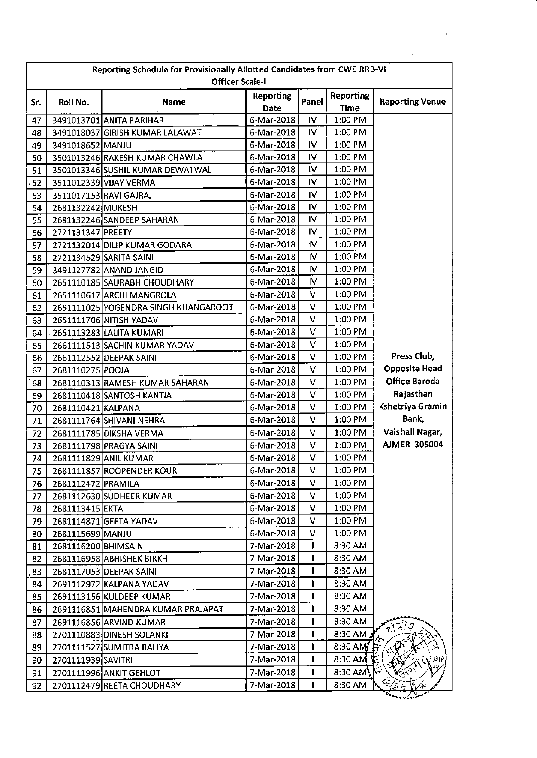| Reporting Schedule for Provisionally Allotted Candidates from CWE RRB-VI<br><b>Officer Scale-I</b> |                     |                                      |            |           |                       |                        |
|----------------------------------------------------------------------------------------------------|---------------------|--------------------------------------|------------|-----------|-----------------------|------------------------|
|                                                                                                    |                     |                                      | Reporting  |           | Reporting             |                        |
| Sr.                                                                                                | Roll No.            | <b>Name</b>                          | Date       | Panel     | Time                  | <b>Reporting Venue</b> |
| 47                                                                                                 |                     | 3491013701 ANITA PARIHAR             | 6-Mar-2018 | IV.       | 1:00 PM               |                        |
| 48                                                                                                 |                     | 3491018037 GIRISH KUMAR LALAWAT      | 6-Mar-2018 | <b>IV</b> | 1:00 PM               |                        |
| 49                                                                                                 | 3491018652 MANJU    |                                      | 6-Mar-2018 | IV        | 1:00 PM               |                        |
| 50                                                                                                 |                     | 3501013246 RAKESH KUMAR CHAWLA       | 6-Mar-2018 | IV        | 1:00 PM               |                        |
| 51                                                                                                 |                     | 3501013346 SUSHIL KUMAR DEWATWAL     | 6-Mar-2018 | IV        | 1:00 PM               |                        |
| 52                                                                                                 |                     | 3511012339 VIJAY VERMA               | 6-Mar-2018 | IV        | 1:00 PM               |                        |
| 53                                                                                                 |                     | 3511017153 RAVI GAJRAJ               | 6-Mar-2018 | IV        | 1:00 PM               |                        |
| 54                                                                                                 | 2681132242 MUKESH   |                                      | 6-Mar-2018 | IV        | 1:00 PM               |                        |
| 55                                                                                                 |                     | 2681132246 SANDEEP SAHARAN           | 6-Mar-2018 | IV        | 1:00 PM               |                        |
| 56                                                                                                 | 2721131347 PREETY   |                                      | 6-Mar-2018 | 1V        | 1:00 PM               |                        |
| 57                                                                                                 |                     | 2721132014 DILIP KUMAR GODARA        | 6-Mar-2018 | 1V        | 1:00 PM               |                        |
| 58                                                                                                 |                     | 2721134529 SARITA SAINI              | 6-Mar-2018 | IV.       | 1:00 PM               |                        |
| 59                                                                                                 |                     | 3491127782 ANAND JANGID              | 6-Mar-2018 | I۷        | 1:00 PM               |                        |
| 60                                                                                                 |                     | 2651110185 SAURABH CHOUDHARY         | 6-Mar-2018 | <b>IV</b> | 1:00 PM               |                        |
| 61                                                                                                 |                     | 2651110617 ARCHI MANGROLA            | 6-Mar-2018 | v         | 1:00 PM               |                        |
| 62                                                                                                 |                     | 2651111025 YOGENDRA SINGH KHANGAROOT | 6-Mar-2018 | V         | 1:00 PM               |                        |
| 63                                                                                                 |                     | 2651111706 NITISH YADAV              | 6-Mar-2018 | V         | 1:00 PM               |                        |
| 64                                                                                                 |                     | 2651113283 LALITA KUMARI             | 6-Mar-2018 | v         | 1:00 PM               |                        |
| 65                                                                                                 |                     | 2661111513 SACHIN KUMAR YADAV        | 6-Mar-2018 | v         | 1:00 PM               |                        |
| 66                                                                                                 |                     | 2661112552 DEEPAK SAINI              | 6-Mar-2018 | v         | 1:00 PM               | Press Club,            |
| 67                                                                                                 | 2681110275 POOJA    |                                      | 6-Mar-2018 | V         | 1:00 PM               | <b>Opposite Head</b>   |
| 68                                                                                                 |                     | 2681110313 RAMESH KUMAR SAHARAN      | 6-Mar-2018 | v         | 1:00 PM               | Office Baroda          |
| 69                                                                                                 |                     | 2681110418 SANTOSH KANTIA            | 6-Mar-2018 | v         | 1:00 PM               | Rajasthan              |
| 70                                                                                                 | 2681110421 KALPANA  |                                      | 6-Mar-2018 | V         | 1:00 PM               | Kshetriya Gramin       |
| 71                                                                                                 |                     | 2681111764 SHIVANI NEHRA             | 6-Mar-2018 | v         | 1:00 PM               | Bank,                  |
| 72                                                                                                 |                     | 2681111785 DIKSHA VERMA              | 6-Mar-2018 | v         | 1:00 PM               | Vaishali Nagar,        |
| 73                                                                                                 |                     | 2681111798 PRAGYA SAINI              | 6-Mar-2018 | V         | 1:00 PM               | <b>AJMER 305004</b>    |
| 74                                                                                                 |                     | 2681111829 ANIL KUMAR                | 6-Mar-2018 | v         | 1:00 PM               |                        |
| 75                                                                                                 |                     | 2681111857 ROOPENDER KOUR            | 6-Mar-2018 | v         | 1:00 PM               |                        |
| 76                                                                                                 | 2681112472 PRAMILA  |                                      | 6-Mar-2018 | v         | 1:00 PM               |                        |
| 77                                                                                                 |                     | 2681112630 SUDHEER KUMAR             | 6-Mar-2018 | v         | 1:00 PM               |                        |
| 78                                                                                                 | 2681113415 EKTA     |                                      | 6-Mar-2018 | v         | 1:00 PM               |                        |
| 79                                                                                                 |                     | 2681114871 GEETA YADAV               | 6-Mar-2018 | v         | 1:00 PM               |                        |
| 80                                                                                                 | 2681115699 MANJU    |                                      | 6-Mar-2018 | v         | 1:00 PM               |                        |
| 81                                                                                                 | 2681116200 BHIMSAIN |                                      | 7-Mar-2018 |           | 8:30 AM               |                        |
| 82                                                                                                 |                     | 2681116958 ABHISHEK BIRKH            | 7-Mar-2018 | ı         | 8:30 AM               |                        |
| 83                                                                                                 |                     | 2681117053 DEEPAK SAINI              | 7-Mar-2018 |           | 8:30 AM               |                        |
| 84                                                                                                 |                     | 2691112972 KALPANA YADAV             | 7-Mar-2018 | L         | 8:30 AM               |                        |
| 85                                                                                                 |                     | 2691113156 KULDEEP KUMAR             | 7-Mar-2018 | 1         | 8:30 AM               |                        |
| 86                                                                                                 |                     | 2691116851 MAHENDRA KUMAR PRAJAPAT   | 7-Mar-2018 |           | 8:30 AM               |                        |
| 87                                                                                                 |                     | 2691116856 ARVIND KUMAR              | 7-Mar-2018 |           | 8:30 AM               |                        |
| 88                                                                                                 |                     | 2701110883 DINESH SOLANKI            | 7-Mar-2018 | L         | 8:30 AM               | ন্তরাস                 |
| 89                                                                                                 |                     | 2701111527 SUMITRA RALIYA            | 7-Mar-2018 | ı         | $8:30$ AM             |                        |
| 90                                                                                                 | 2701111939 SAVITRI  |                                      | 7-Mar-2018 |           | 8:30 AM               |                        |
|                                                                                                    |                     |                                      | 7-Mar-2018 | п         | 8:30 AM $\mathcal{K}$ |                        |
| 91                                                                                                 |                     | 2701111996 ANKIT GEHLOT              |            |           |                       |                        |
| 92                                                                                                 |                     | 2701112479 REETA CHOUDHARY           | 7-Mar-2018 |           | 8:30 AM               | にゅ                     |

 $\mathcal{A}$ 

 $\label{eq:2} \mathcal{L}_{\text{max}} = \mathcal{L}_{\text{max}} \left( \mathcal{L}_{\text{max}} \right)$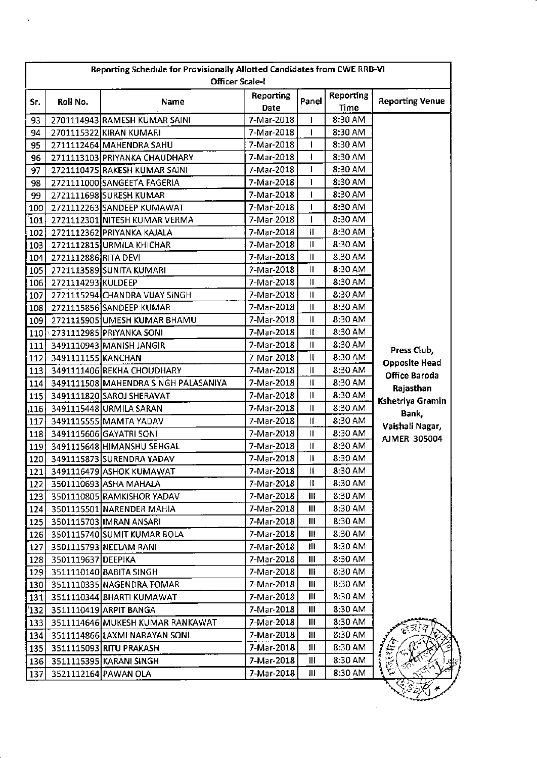|                | Reporting Schedule for Provisionally Allotted Candidates from CWE RRB-VI<br><b>Officer Scale-I</b> |                                      |            |                |                  |                                       |  |
|----------------|----------------------------------------------------------------------------------------------------|--------------------------------------|------------|----------------|------------------|---------------------------------------|--|
|                |                                                                                                    |                                      | Reporting  |                | <b>Reporting</b> |                                       |  |
| Sr.            | Roll No.                                                                                           | Name                                 | Date       | Panel          | Time             | <b>Reporting Venue</b>                |  |
| 93             |                                                                                                    | 2701114943 RAMESH KUMAR SAINI        | 7-Mar-2018 |                | 8:30 AM          |                                       |  |
| 94             |                                                                                                    | 2701115322 KIRAN KUMARI              | 7-Mar-2018 | T              | 8:30 AM          |                                       |  |
| 95             |                                                                                                    | 2711112464 MAHENDRA SAHU             | 7-Mar-2018 | T              | 8:30 AM          |                                       |  |
| 96             |                                                                                                    | 2711113103 PRIYANKA CHAUDHARY        | 7-Mar-2018 | $\mathbf{I}$   | 8:30 AM          |                                       |  |
| 97             |                                                                                                    | 2721110475 RAKESH KUMAR SAINI        | 7-Mar-2018 | T              | 8:30 AM          |                                       |  |
| 98             |                                                                                                    | 2721111000 SANGEETA FAGERIA          | 7-Mar-2018 | T              | 8:30 AM          |                                       |  |
| 99             |                                                                                                    | 2721111698 SURESH KUMAR              | 7-Mar-2018 | $\mathbf{I}$   | 8:30 AM          |                                       |  |
| 100            |                                                                                                    | 2721112263 SANDEEP KUMAWAT           | 7-Mar-2018 | $\mathbf{I}$   | 8:30 AM          |                                       |  |
| 101            |                                                                                                    | 2721112301 NITESH KUMAR VERMA        | 7-Mar-2018 | $\mathbf{I}$   | 8:30 AM          |                                       |  |
| 102            |                                                                                                    | 2721112362 PRIYANKA KAJALA           | 7-Mar-2018 | $\mathbf{I}$   | 8:30 AM          |                                       |  |
| 103            |                                                                                                    | 2721112815 URMILA KHICHAR            | 7-Mar-2018 | Ш              | 8:30 AM          |                                       |  |
| 104            | 2721112886 RITA DEVI                                                                               |                                      | 7-Mar-2018 | Ш              | 8:30 AM          |                                       |  |
| 105            |                                                                                                    | 2721113589 SUNITA KUMARI             | 7-Mar-2018 | Ш              | 8:30 AM          |                                       |  |
| 106            | 2721114293 KULDEEP                                                                                 |                                      | 7-Mar-2018 | $\mathbf{II}$  | 8:30 AM          |                                       |  |
| 107            |                                                                                                    | 2721115294 CHANDRA VIJAY SINGH       | 7-Mar-2018 | Ш              | 8:30 AM          |                                       |  |
| 108            |                                                                                                    | 2721115856 SANDEEP KUMAR             | 7-Mar-2018 | Ш              | 8:30 AM          |                                       |  |
| 109            |                                                                                                    | 2721115905 UMESH KUMAR BHAMU         | 7-Mar-2018 | $\mathbf{I}$   | 8:30 AM          |                                       |  |
|                |                                                                                                    | 110 2731112985 PRIYANKA SONI         | 7-Mar-2018 | It             | 8:30 AM          |                                       |  |
| 111            |                                                                                                    | 3491110943 MANISH JANGIR             | 7-Mar-2018 | Ш              | 8:30 AM          | Press Club,                           |  |
| 112            | 3491111155 KANCHAN                                                                                 |                                      | 7-Mar-2018 | $\mathbf{I}$   | 8:30 AM          |                                       |  |
| 113            |                                                                                                    | 3491111406 REKHA CHOUDHARY           | 7-Mar-2018 | $\mathbf{I}$   | 8:30 AM          | <b>Opposite Head</b><br>Office Baroda |  |
| 114            |                                                                                                    | 3491111508 MAHENDRA SINGH PALASANIYA | 7-Mar-2018 | II             | 8:30 AM          |                                       |  |
| 115            |                                                                                                    | 3491111820 SAROJ SHERAVAT            | 7-Mar-2018 | $\mathbf{I}$   | 8:30 AM          | Rajasthan                             |  |
| .116           |                                                                                                    | 3491115448 URMILA SARAN              | 7-Mar-2018 | Ш              | 8:30 AM          | Kshetriya Gramin                      |  |
| 117            |                                                                                                    | 3491115555 MAMTA YADAV               | 7-Mar-2018 | Ш              | 8:30 AM          | Bank,                                 |  |
| 118            |                                                                                                    | 3491115606 GAYATRI SONI              | 7-Mar-2018 | Ш              | 8:30 AM          | Vaishali Nagar,                       |  |
| 119            |                                                                                                    | 3491115648 HIMANSHU SEHGAL           | 7-Mar-2018 | II             | 8:30 AM          | <b>AJMER 305004</b>                   |  |
| 120            |                                                                                                    | 3491115873 SURENDRA YADAV            | 7-Mar-2018 | ₩              | 8:30 AM          |                                       |  |
| 121            |                                                                                                    | 3491116479 ASHOK KUMAWAT             | 7-Mar-2018 | Ш              | 8:30 AM          |                                       |  |
| 122            |                                                                                                    | 3501110693 ASHA MAHALA               | 7-Mar-2018 | Ш              | 8:30 AM          |                                       |  |
| 123            |                                                                                                    | 3501110805 RAMKISHOR YADAV           | 7-Mar-2018 | Ш              | 8:30 AM          |                                       |  |
| 124            |                                                                                                    | 3501115501 NARENDER MAHIA            | 7-Mar-2018 | $\mathbf{III}$ | 8:30 AM          |                                       |  |
|                |                                                                                                    | 125 3501115703 IMRAN ANSARI          | 7-Mar-2018 | Ш              | 8:30 AM          |                                       |  |
|                |                                                                                                    | 126 3501115740 SUMIT KUMAR BOLA      | 7-Mar-2018 | Ш              | 8:30 AM          |                                       |  |
| 127            |                                                                                                    | 3501115793 NEELAM RANI               | 7-Mar-2018 | Ш              | 8:30 AM          |                                       |  |
|                | 128 3501119637 DEEPIKA                                                                             |                                      | 7-Mar-2018 | Ш              | 8:30 AM          |                                       |  |
|                |                                                                                                    | 129 3511110140 BABITA SINGH          | 7-Mar-2018 | Ш              | 8:30 AM          |                                       |  |
|                |                                                                                                    | 130 3511110335 NAGENDRA TOMAR        | 7-Mar-2018 | Ш              | 8:30 AM          |                                       |  |
| 131            |                                                                                                    | 3511110344 BHARTI KUMAWAT            | 7-Mar-2018 | $\mathbf{III}$ | 8:30 AM          |                                       |  |
| $^{\prime}132$ |                                                                                                    | 3511110419 ARPIT BANGA               | 7-Mar-2018 | Ш              | 8:30 AM          |                                       |  |
| 133            |                                                                                                    | 3511114646 MUKESH KUMAR RANKAWAT     | 7-Mar-2018 | Ш              | 8:30 AM          |                                       |  |
| 134            |                                                                                                    | 3511114866 LAXMI NARAYAN SONI        | 7-Mar-2018 | Ш              | 8:30 AM          |                                       |  |
| 135            |                                                                                                    | 3511115093 RITU PRAKASH              | 7-Mar-2018 | 111            | 8:30 AM          |                                       |  |
| 136            |                                                                                                    | 3511115395 KARANI SINGH              | 7-Mar-2018 | Ш              | 8:30 AM          |                                       |  |
| 137            |                                                                                                    | 3521112164 PAWAN OLA                 | 7-Mar-2018 | Ш              | 8:30 AM          |                                       |  |
|                |                                                                                                    |                                      |            |                |                  |                                       |  |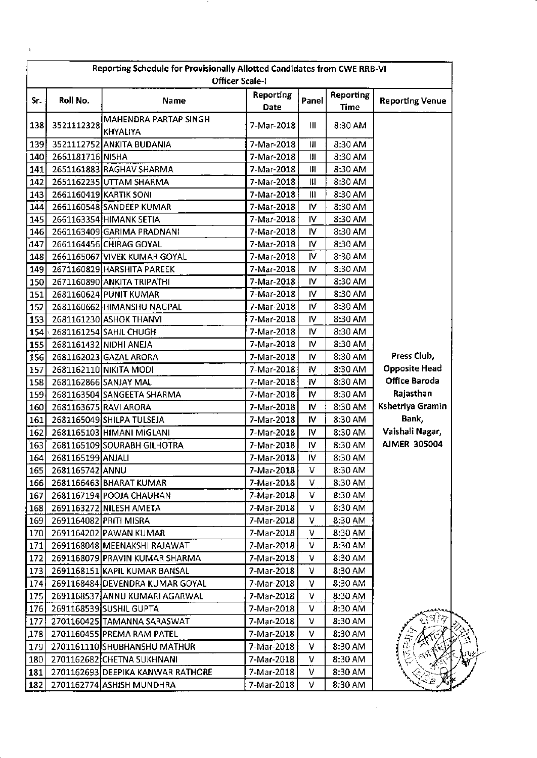| Reporting Schedule for Provisionally Allotted Candidates from CWE RRB-VI<br><b>Officer Scale-I</b> |                        |                                          |                   |              |                          |                        |
|----------------------------------------------------------------------------------------------------|------------------------|------------------------------------------|-------------------|--------------|--------------------------|------------------------|
| Sr.                                                                                                | Roll No.               | Name                                     | Reporting<br>Date | Panel        | <b>Reporting</b><br>Time | <b>Reporting Venue</b> |
| 138                                                                                                | 3521112328             | MAHENDRA PARTAP SINGH<br><b>KHYALIYA</b> | 7-Mar-2018        | Ш            | 8:30 AM                  |                        |
| 139                                                                                                |                        | 3521112752 ANKITA BUDANIA                | 7-Mar-2018        | Ш            | 8:30 AM                  |                        |
|                                                                                                    | 140 2661181716 NISHA   |                                          | 7-Mar-2018        | Ш            | 8:30 AM                  |                        |
| 141                                                                                                |                        | 2651161883 RAGHAV SHARMA                 | 7-Mar-2018        | Ш            | 8:30 AM                  |                        |
| 142                                                                                                |                        | 2651162235 UTTAM SHARMA                  | 7-Mar-2018        | Ш            | 8:30 AM                  |                        |
| 143                                                                                                |                        | 2661160419 KARTIK SONI                   | 7-Mar-2018        | $\mathbf{m}$ | 8:30 AM                  |                        |
| 144                                                                                                |                        | 2661160548 SANDEEP KUMAR                 | 7-Mar-2018        | IV.          | 8:30 AM                  |                        |
| 145                                                                                                |                        | 2661163354 HIMANK SETIA                  | 7-Mar-2018        | IV.          | 8:30 AM                  |                        |
| 146                                                                                                |                        | 2661163409 GARIMA PRADNANI               | 7-Mar-2018        | IV           | 8:30 AM                  |                        |
| 147                                                                                                |                        | 2661164456 CHIRAG GOYAL                  | 7-Mar-2018        | ۱V           | 8:30 AM                  |                        |
| 148                                                                                                |                        | 2661165067 VIVEK KUMAR GOYAL             | 7-Mar-2018        | IV.          | 8:30 AM                  |                        |
| 149                                                                                                |                        | 2671160829 HARSHITA PAREEK               | 7-Mar-2018        | <b>IV</b>    | 8:30 AM                  |                        |
| 150                                                                                                |                        | 2671160890 ANKITA TRIPATHI               | 7-Mar-2018        | IV.          | 8:30 AM                  |                        |
| 151                                                                                                |                        | 2681160624 PUNIT KUMAR                   | 7-Mar-2018        | IV.          | 8:30 AM                  |                        |
| 152                                                                                                |                        | 2681160662 HIMANSHU NAGPAL               | 7-Mar-2018        | IV.          | 8:30 AM                  |                        |
| 153                                                                                                |                        | 2681161230 ASHOK THANVI                  | 7-Mar-2018        | 1V           | 8:30 AM                  |                        |
|                                                                                                    |                        | 154 2681161254 SAHIL CHUGH               | 7-Mar-2018        | IV           | 8:30 AM                  |                        |
| 155                                                                                                | 2681161432 NIDHI ANEJA |                                          | 7-Mar-2018        | IV.          | 8:30 AM                  |                        |
| 156                                                                                                |                        | 2681162023 GAZAL ARORA                   | 7-Mar-2018        | IV.          | 8:30 AM                  | Press Club,            |
| 157                                                                                                |                        | 2681162110 NIKITA MODI                   | 7-Mar-2018        | IV.          | 8:30 AM                  | <b>Opposite Head</b>   |
| 158                                                                                                |                        | 2681162866 SANJAY MAL                    | 7-Mar-2018        | <b>IV</b>    | 8:30 AM                  | Office Baroda          |
| 159                                                                                                |                        | 2681163504 SANGEETA SHARMA               | 7-Mar-2018        | IV           | 8:30 AM                  | Rajasthan              |
| 160                                                                                                |                        | 2681163675 RAVI ARORA                    | 7-Mar-2018        | 1V           | 8:30 AM                  | Kshetriya Gramin       |
| 161                                                                                                |                        | 2681165049 SHILPA TULSEJA                | 7-Mar-2018        | IV           | 8:30 AM                  | Bank,                  |
| 162                                                                                                |                        | 2681165103 HIMANI MIGLANI                | 7-Mar-2018        | 1V           | 8:30 AM                  | Vaishali Nagar,        |
| 163                                                                                                |                        | 2681165109 SOURABH GILHOTRA              | 7-Mar-2018        | 1V           | 8:30 AM                  | <b>AIMER 305004</b>    |
| 164                                                                                                | 2681165199 ANJALI      |                                          | 7-Mar-2018        | IV           | 8:30 AM                  |                        |
| 165                                                                                                | 2681165742 ANNU        |                                          | 7-Mar-2018        | v            | 8:30 AM                  |                        |
| 166                                                                                                |                        | 2681166463 BHARAT KUMAR                  | 7-Mar-2018        | v            | 8:30 AM                  |                        |
| 167                                                                                                |                        | 2681167194 POOJA CHAUHAN                 | 7-Mar-2018        | ۷            | 8:30 AM                  |                        |
| 168                                                                                                |                        | 2691163272 NILESH AMETA                  | 7-Mar-2018        | v            | 8:30 AM                  |                        |
| 169                                                                                                | 2691164082 PRITH MISRA |                                          | 7-Mar-2018        | v            | 8:30 AM                  |                        |
| 170                                                                                                |                        | 2691164202 PAWAN KUMAR                   | 7-Mar-2018        | v            | 8:30 AM                  |                        |
| 171                                                                                                |                        | 2691168048 MEENAKSHI RAJAWAT             | 7-Mar-2018        | v            | 8:30 AM                  |                        |
| 172                                                                                                |                        | 2691168079 PRAVIN KUMAR SHARMA           | 7-Mar-2018        | v            | 8:30 AM                  |                        |
| 173                                                                                                |                        | 2691168151 KAPIL KUMAR BANSAL            | 7-Mar-2018        | v            | 8:30 AM                  |                        |
| 174                                                                                                |                        | 2691168484 DEVENDRA KUMAR GOYAL          | 7-Mar-2018        | v            | 8:30 AM                  |                        |
| 175                                                                                                |                        | 2691168537 ANNU KUMARI AGARWAL           | 7-Mar-2018        | v            | 8:30 AM                  |                        |
| <b>176</b>                                                                                         |                        | 2691168539 SUSHIL GUPTA                  | 7-Mar-2018        | v            | 8:30 AM                  |                        |
| 177                                                                                                |                        | 2701160425 TAMANNA SARASWAT              | 7-Mar-2018        | v            | 8:30 AM                  |                        |
| ,178                                                                                               |                        | 2701160455 PREMA RAM PATEL               | 7-Mar-2018        | ۷            | 8:30 AM                  |                        |
| 179                                                                                                |                        | 2701161110 SHUBHANSHU MATHUR             | 7-Mar-2018        | v            | 8:30 AM                  |                        |
| 180                                                                                                |                        | 2701162682 CHETNA SUKHNANI               | 7-Mar-2018        | ۷            | 8:30 AM                  |                        |
| 181                                                                                                |                        | 2701162693 DEEPIKA KANWAR RATHORE        | 7-Mar-2018        | v            | 8:30 AM                  |                        |
| 182                                                                                                |                        | 2701162774 ASHISH MUNDHRA                | 7-Mar-2018        | ۷            | 8:30 AM                  |                        |

 $\frac{1}{2}$  ,  $\frac{1}{2}$ 

- 70

 $\hat{\textbf{t}}$